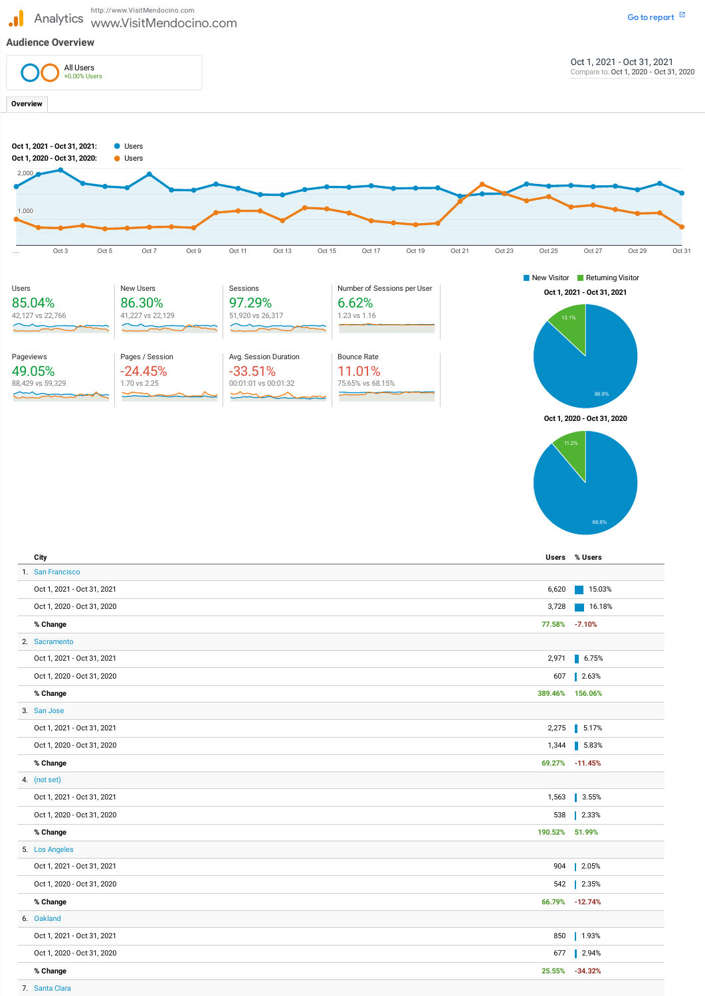http://www.VisitMendocino.com<br>Analytics www.VisitMendocii www.VisitMendocino.com

Oct 1, 2020 - Oct 31, 2020

| % Change                   | 389.46% 156.06% |                      |
|----------------------------|-----------------|----------------------|
| 3. San Jose                |                 |                      |
| Oct 1, 2021 - Oct 31, 2021 | 2,275           | $\blacksquare$ 5.17% |
| Oct 1, 2020 - Oct 31, 2020 | 1,344           | $\blacksquare$ 5.83% |
| % Change                   | 69.27%          | $-11.45%$            |
| 4. (not set)               |                 |                      |
| Oct 1, 2021 - Oct 31, 2021 | 1,563           | $\blacksquare$ 3.55% |
| Oct 1, 2020 - Oct 31, 2020 | 538             | $\vert$ 2.33%        |
| % Change                   | 190.52% 51.99%  |                      |
| 5. Los Angeles             |                 |                      |
| Oct 1, 2021 - Oct 31, 2021 | 904             | $2.05%$              |
| Oct 1, 2020 - Oct 31, 2020 | 542             | $2.35%$              |
| % Change                   |                 | 66.79% -12.74%       |
| 6. Oakland                 |                 |                      |
| Oct 1, 2021 - Oct 31, 2021 | 850             | $1.93%$              |
| Oct 1, 2020 - Oct 31, 2020 | 677             | $\blacksquare$ 2.94% |
| % Change                   | 25.55%          | $-34.32%$            |
|                            |                 |                      |

607 2.63%

7. Santa Clara



J.